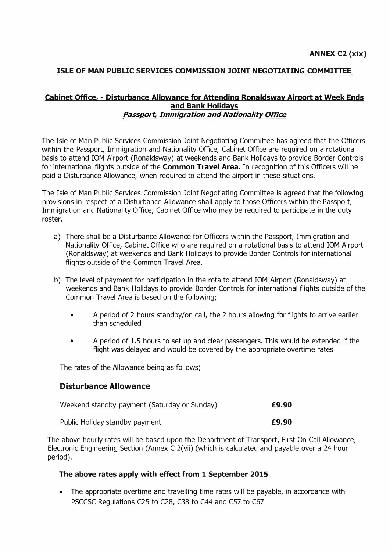# **ISLE OF MAN PUBLIC SERVICES COMMISSION JOINT NEGOTIATING COMMITTEE**

## **Cabinet Office, � Disturbance Allowance for Attending Ronaldsway Airport at Week Ends and Bank Holidays**  *Passport, Immigration and Nationality Office*

The Isle of Man Public Services Commission Joint Negotiating Committee has agreed that the Officers within the Passport, Immigration and Nationality Office, Cabinet Office are required on a rotational basis to attend IOM Airport (Ronaldsway) at weekends and Bank Holidays to provide Border Controls for international flights outside of the **Common Travel Area.** In recognition of this Officers will be paid a Disturbance Allowance, when required to attend the airport in these situations.

The Isle of Man Public Services Commission Joint Negotiating Committee is agreed that the following provisions in respect of a Disturbance Allowance shall apply to those Officers within the Passport, Immigration and Nationality Office, Cabinet Office who may be required to participate in the duty roster.

- a) There shall be a Disturbance Allowance for Officers within the Passport, Immigration and Nationality Office, Cabinet Office who are required on a rotational basis to attend IOM Airport (Ronaldsway) at weekends and Bank Holidays to provide Border Controls for international flights outside of the Common Travel Area.
- b) The level of payment for participation in the rota to attend IOM Airport (Ronaldsway) at weekends and Bank Holidays to provide Border Controls for international flights outside of the Common Travel Area is based on the following;
	- A period of 2 hours standby/on call, the 2 hours allowing for flights to arrive earlier than scheduled
	- A period of 1.5 hours to set up and clear passengers. This would be extended if the flight was delayed and would be covered by the appropriate overtime rates

The rates of the Allowance being as follows;

## **Disturbance Allowance**

| Weekend standby payment (Saturday or Sunday) |  | £9.90 |
|----------------------------------------------|--|-------|
|                                              |  |       |

Public Holiday standby payment **E9.90** 

The above hourly rates will be based upon the Department of Transport, First On Call Allowance, Electronic Engineering Section (Annex C 2(vii) (which is calculated and payable over a 24 hour period).

#### **The above rates apply with effect from 1 September 2015**

• The appropriate overtime and travelling time rates will be payable, in accordance with PSCCSC Regulations C25 to C28, C38 to C44 and C57 to C67